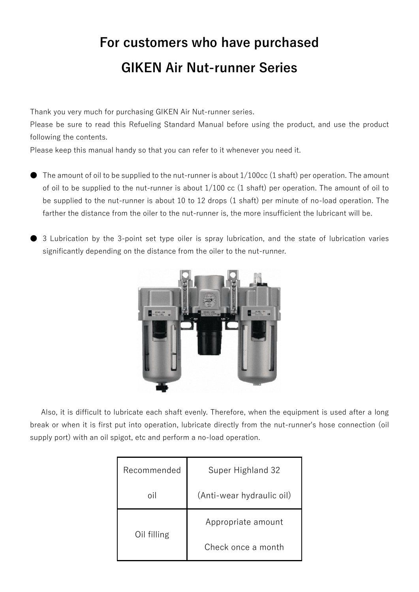# **For customers who have purchased GIKEN Air Nut-runner Series**

Thank you very much for purchasing GIKEN Air Nut-runner series.

Please be sure to read this Refueling Standard Manual before using the product, and use the product following the contents.

Please keep this manual handy so that you can refer to it whenever you need it.

- The amount of oil to be supplied to the nut-runner is about  $1/100cc$  (1 shaft) per operation. The amount of oil to be supplied to the nut-runner is about 1/100 cc (1 shaft) per operation. The amount of oil to be supplied to the nut-runner is about 10 to 12 drops (1 shaft) per minute of no-load operation. The farther the distance from the oiler to the nut-runner is, the more insufficient the lubricant will be.
- 3 Lubrication by the 3-point set type oiler is spray lubrication, and the state of lubrication varies significantly depending on the distance from the oiler to the nut-runner.



Also, it is difficult to lubricate each shaft evenly. Therefore, when the equipment is used after a long break or when it is first put into operation, lubricate directly from the nut-runner's hose connection (oil supply port) with an oil spigot, etc and perform a no-load operation.

| Recommended | Super Highland 32         |  |
|-------------|---------------------------|--|
| oil         | (Anti-wear hydraulic oil) |  |
| Oil filling | Appropriate amount        |  |
|             | Check once a month        |  |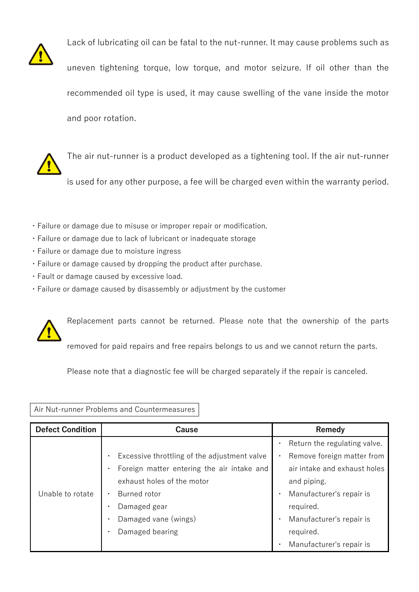

Lack of lubricating oil can be fatal to the nut-runner. It may cause problems such as uneven tightening torque, low torque, and motor seizure. If oil other than the recommended oil type is used, it may cause swelling of the vane inside the motor and poor rotation.

The air nut-runner is a product developed as a tightening tool. If the air nut-runner is used for any other purpose, a fee will be charged even within the warranty period.

- ・Failure or damage due to misuse or improper repair or modification.
- ・Failure or damage due to lack of lubricant or inadequate storage
- ・Failure or damage due to moisture ingress
- ・Failure or damage caused by dropping the product after purchase.
- ・Fault or damage caused by excessive load.
- ・Failure or damage caused by disassembly or adjustment by the customer



Please note that a diagnostic fee will be charged separately if the repair is canceled.

#### Air Nut-runner Problems and Countermeasures

| <b>Defect Condition</b> | Cause                                                     | Remedy                       |
|-------------------------|-----------------------------------------------------------|------------------------------|
|                         |                                                           | Return the regulating valve. |
|                         | Excessive throttling of the adjustment valve<br>$\bullet$ | Remove foreign matter from   |
|                         | Foreign matter entering the air intake and<br>$\bullet$   | air intake and exhaust holes |
|                         | exhaust holes of the motor                                | and piping.                  |
| Unable to rotate        | Burned rotor<br>$\bullet$                                 | Manufacturer's repair is     |
|                         | Damaged gear<br>$\bullet$                                 | required.                    |
|                         | Damaged vane (wings)<br>$\bullet$                         | Manufacturer's repair is     |
|                         | Damaged bearing<br>$\bullet$                              | required.                    |
|                         |                                                           | Manufacturer's repair is     |